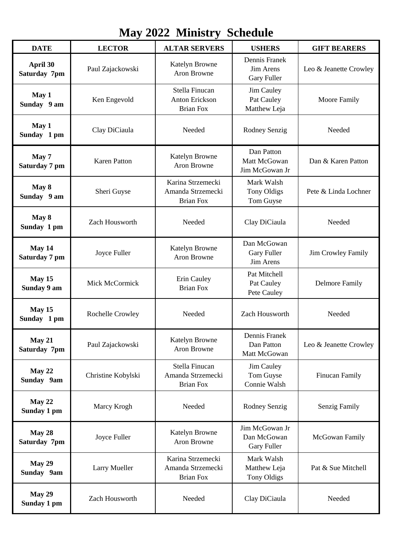| <b>May 2022 Ministry Schedule</b> |                      |                                                             |                                                     |                        |  |  |  |
|-----------------------------------|----------------------|-------------------------------------------------------------|-----------------------------------------------------|------------------------|--|--|--|
| <b>DATE</b>                       | <b>LECTOR</b>        | <b>ALTAR SERVERS</b>                                        | <b>USHERS</b>                                       | <b>GIFT BEARERS</b>    |  |  |  |
| April 30<br>Saturday 7pm          | Paul Zajackowski     | <b>Katelyn Browne</b><br>Aron Browne                        | Dennis Franek<br>Jim Arens<br><b>Gary Fuller</b>    | Leo & Jeanette Crowley |  |  |  |
| May 1<br>Sunday 9 am              | Ken Engevold         | Stella Finucan<br><b>Anton Erickson</b><br><b>Brian Fox</b> | Jim Cauley<br>Pat Cauley<br>Matthew Leja            | <b>Moore Family</b>    |  |  |  |
| May 1<br>Sunday 1 pm              | Clay DiCiaula        | Needed                                                      | Rodney Senzig                                       | Needed                 |  |  |  |
| May 7<br>Saturday 7 pm            | <b>Karen Patton</b>  | Katelyn Browne<br>Aron Browne                               | Dan Patton<br>Matt McGowan<br>Jim McGowan Jr        | Dan & Karen Patton     |  |  |  |
| May 8<br>Sunday 9 am              | Sheri Guyse          | Karina Strzemecki<br>Amanda Strzemecki<br><b>Brian Fox</b>  | Mark Walsh<br><b>Tony Oldigs</b><br>Tom Guyse       | Pete & Linda Lochner   |  |  |  |
| May 8<br>Sunday 1 pm              | Zach Housworth       | Needed                                                      | Clay DiCiaula                                       | Needed                 |  |  |  |
| May 14<br>Saturday 7 pm           | Joyce Fuller         | Katelyn Browne<br>Aron Browne                               | Dan McGowan<br><b>Gary Fuller</b><br>Jim Arens      | Jim Crowley Family     |  |  |  |
| May 15<br>Sunday 9 am             | Mick McCormick       | Erin Cauley<br><b>Brian Fox</b>                             | Pat Mitchell<br>Pat Cauley<br>Pete Cauley           | <b>Delmore Family</b>  |  |  |  |
| May 15<br>Sunday 1 pm             | Rochelle Crowley     | Needed                                                      | Zach Housworth                                      | Needed                 |  |  |  |
| May 21<br>Saturday 7pm            | Paul Zajackowski     | Katelyn Browne<br>Aron Browne                               | Dennis Franek<br>Dan Patton<br>Matt McGowan         | Leo & Jeanette Crowley |  |  |  |
| May 22<br>Sunday 9am              | Christine Kobylski   | Stella Finucan<br>Amanda Strzemecki<br><b>Brian Fox</b>     | Jim Cauley<br>Tom Guyse<br>Connie Walsh             | <b>Finucan Family</b>  |  |  |  |
| May 22<br>Sunday 1 pm             | Marcy Krogh          | Needed                                                      | Rodney Senzig                                       | Senzig Family          |  |  |  |
| May 28<br>Saturday 7pm            | Joyce Fuller         | Katelyn Browne<br>Aron Browne                               | Jim McGowan Jr<br>Dan McGowan<br><b>Gary Fuller</b> | McGowan Family         |  |  |  |
| May 29<br>Sunday 9am              | <b>Larry Mueller</b> | Karina Strzemecki<br>Amanda Strzemecki<br><b>Brian Fox</b>  | Mark Walsh<br>Matthew Leja<br><b>Tony Oldigs</b>    | Pat & Sue Mitchell     |  |  |  |
| <b>May 29</b><br>Sunday 1 pm      | Zach Housworth       | Needed                                                      | Clay DiCiaula                                       | Needed                 |  |  |  |